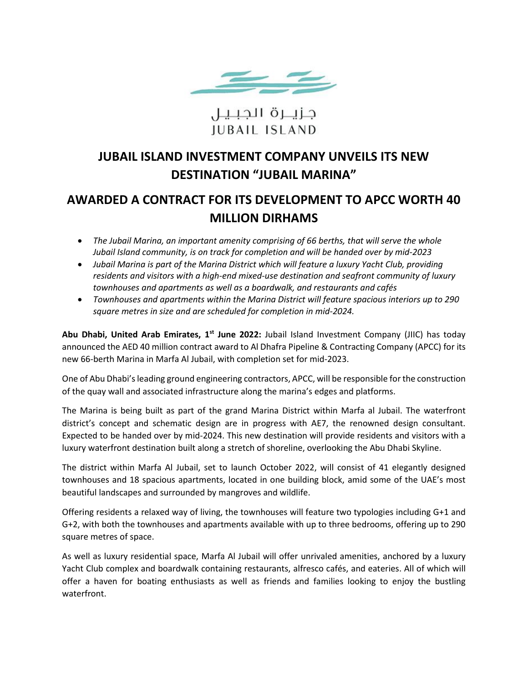

# جزيــرة الجبـيـل **IUBAIL ISLAND**

## **JUBAIL ISLAND INVESTMENT COMPANY UNVEILS ITS NEW DESTINATION "JUBAIL MARINA"**

# **AWARDED A CONTRACT FOR ITS DEVELOPMENT TO APCC WORTH 40 MILLION DIRHAMS**

- *The Jubail Marina, an important amenity comprising of 66 berths, that will serve the whole Jubail Island community, is on track for completion and will be handed over by mid-2023*
- *Jubail Marina is part of the Marina District which will feature a luxury Yacht Club, providing residents and visitors with a high-end mixed-use destination and seafront community of luxury townhouses and apartments as well as a boardwalk, and restaurants and cafés*
- *Townhouses and apartments within the Marina District will feature spacious interiors up to 290 square metres in size and are scheduled for completion in mid-2024.*

Abu Dhabi, United Arab Emirates, 1<sup>st</sup> June 2022: Jubail Island Investment Company (JIIC) has today announced the AED 40 million contract award to Al Dhafra Pipeline & Contracting Company (APCC) for its new 66-berth Marina in Marfa Al Jubail, with completion set for mid-2023.

One of Abu Dhabi's leading ground engineering contractors, APCC, will be responsible for the construction of the quay wall and associated infrastructure along the marina's edges and platforms.

The Marina is being built as part of the grand Marina District within Marfa al Jubail. The waterfront district's concept and schematic design are in progress with AE7, the renowned design consultant. Expected to be handed over by mid-2024. This new destination will provide residents and visitors with a luxury waterfront destination built along a stretch of shoreline, overlooking the Abu Dhabi Skyline.

The district within Marfa Al Jubail, set to launch October 2022, will consist of 41 elegantly designed townhouses and 18 spacious apartments, located in one building block, amid some of the UAE's most beautiful landscapes and surrounded by mangroves and wildlife.

Offering residents a relaxed way of living, the townhouses will feature two typologies including G+1 and G+2, with both the townhouses and apartments available with up to three bedrooms, offering up to 290 square metres of space.

As well as luxury residential space, Marfa Al Jubail will offer unrivaled amenities, anchored by a luxury Yacht Club complex and boardwalk containing restaurants, alfresco cafés, and eateries. All of which will offer a haven for boating enthusiasts as well as friends and families looking to enjoy the bustling waterfront.